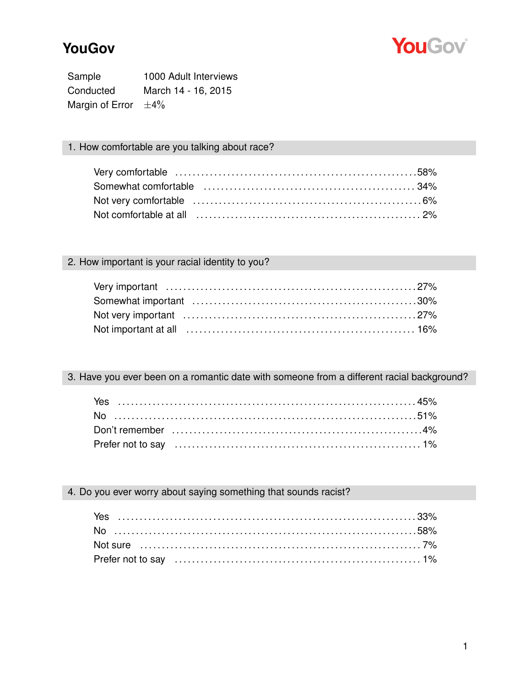

# **YouGov**

Sample 1000 Adult Interviews Conducted March 14 - 16, 2015 Margin of Error  $\pm 4\%$ 

### 1. How comfortable are you talking about race?

| Somewhat comfortable (and intercontract in the contract of the state of the state of the state of the state of |  |
|----------------------------------------------------------------------------------------------------------------|--|
|                                                                                                                |  |
|                                                                                                                |  |

# 2. How important is your racial identity to you?

3. Have you ever been on a romantic date with someone from a different racial background?

4. Do you ever worry about saying something that sounds racist?